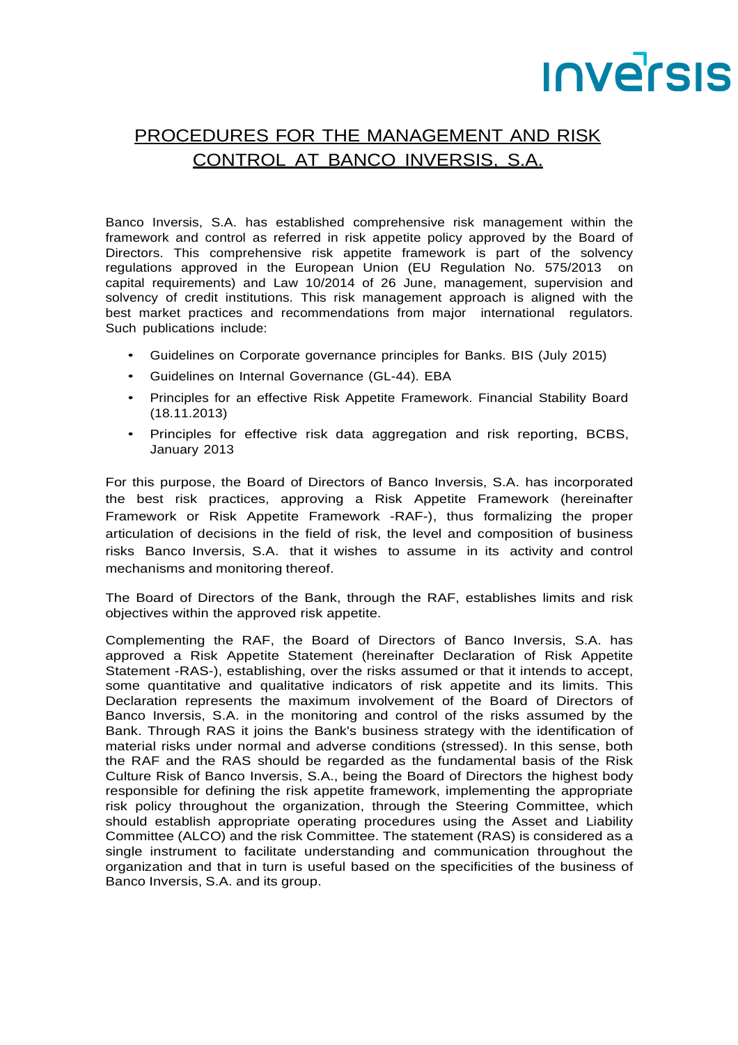## **INVETSIS**

## PROCEDURES FOR THE MANAGEMENT AND RISK CONTROL AT BANCO INVERSIS, S.A.

Banco Inversis, S.A. has established comprehensive risk management within the framework and control as referred in risk appetite policy approved by the Board of Directors. This comprehensive risk appetite framework is part of the solvency regulations approved in the European Union (EU Regulation No. 575/2013 on capital requirements) and Law 10/2014 of 26 June, management, supervision and solvency of credit institutions. This risk management approach is aligned with the best market practices and recommendations from major international regulators. Such publications include:

- Guidelines on Corporate governance principles for Banks. BIS (July 2015)
- Guidelines on Internal Governance (GL-44). EBA
- Principles for an effective Risk Appetite Framework. Financial Stability Board (18.11.2013)
- Principles for effective risk data aggregation and risk reporting, BCBS, January 2013

For this purpose, the Board of Directors of Banco Inversis, S.A. has incorporated the best risk practices, approving a Risk Appetite Framework (hereinafter Framework or Risk Appetite Framework -RAF-), thus formalizing the proper articulation of decisions in the field of risk, the level and composition of business risks Banco Inversis, S.A. that it wishes to assume in its activity and control mechanisms and monitoring thereof.

The Board of Directors of the Bank, through the RAF, establishes limits and risk objectives within the approved risk appetite.

Complementing the RAF, the Board of Directors of Banco Inversis, S.A. has approved a Risk Appetite Statement (hereinafter Declaration of Risk Appetite Statement -RAS-), establishing, over the risks assumed or that it intends to accept, some quantitative and qualitative indicators of risk appetite and its limits. This Declaration represents the maximum involvement of the Board of Directors of Banco Inversis, S.A. in the monitoring and control of the risks assumed by the Bank. Through RAS it joins the Bank's business strategy with the identification of material risks under normal and adverse conditions (stressed). In this sense, both the RAF and the RAS should be regarded as the fundamental basis of the Risk Culture Risk of Banco Inversis, S.A., being the Board of Directors the highest body responsible for defining the risk appetite framework, implementing the appropriate risk policy throughout the organization, through the Steering Committee, which should establish appropriate operating procedures using the Asset and Liability Committee (ALCO) and the risk Committee. The statement (RAS) is considered as a single instrument to facilitate understanding and communication throughout the organization and that in turn is useful based on the specificities of the business of Banco Inversis, S.A. and its group.